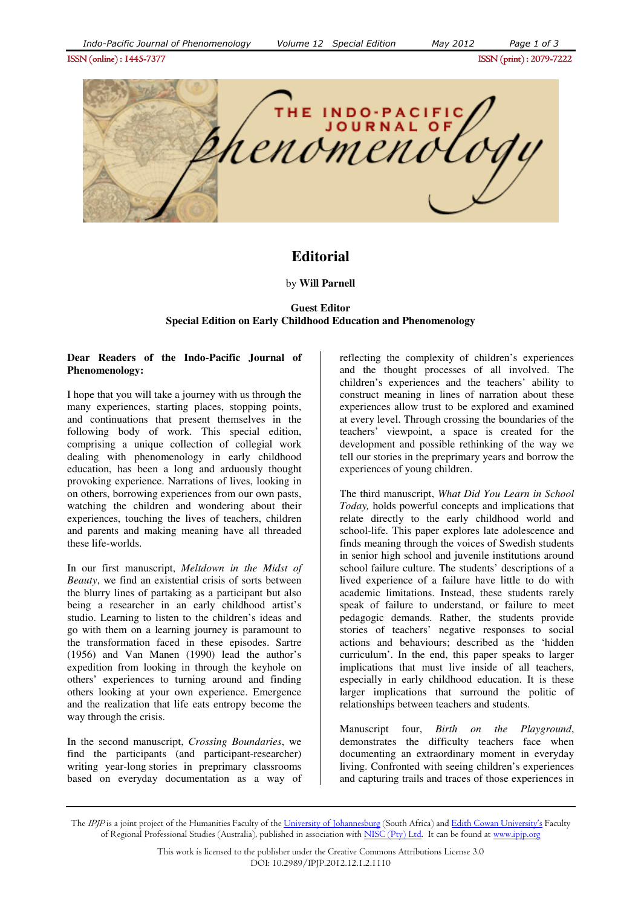

# **Editorial**

#### by **Will Parnell**

## **Guest Editor Special Edition on Early Childhood Education and Phenomenology**

## **Dear Readers of the Indo-Pacific Journal of Phenomenology:**

I hope that you will take a journey with us through the many experiences, starting places, stopping points, and continuations that present themselves in the following body of work. This special edition, comprising a unique collection of collegial work dealing with phenomenology in early childhood education, has been a long and arduously thought provoking experience. Narrations of lives, looking in on others, borrowing experiences from our own pasts, watching the children and wondering about their experiences, touching the lives of teachers, children and parents and making meaning have all threaded these life-worlds.

In our first manuscript, *Meltdown in the Midst of Beauty*, we find an existential crisis of sorts between the blurry lines of partaking as a participant but also being a researcher in an early childhood artist's studio. Learning to listen to the children's ideas and go with them on a learning journey is paramount to the transformation faced in these episodes. Sartre (1956) and Van Manen (1990) lead the author's expedition from looking in through the keyhole on others' experiences to turning around and finding others looking at your own experience. Emergence and the realization that life eats entropy become the way through the crisis.

In the second manuscript, *Crossing Boundaries*, we find the participants (and participant-researcher) writing year-long stories in preprimary classrooms based on everyday documentation as a way of reflecting the complexity of children's experiences and the thought processes of all involved. The children's experiences and the teachers' ability to construct meaning in lines of narration about these experiences allow trust to be explored and examined at every level. Through crossing the boundaries of the teachers' viewpoint, a space is created for the development and possible rethinking of the way we tell our stories in the preprimary years and borrow the experiences of young children.

The third manuscript, *What Did You Learn in School Today,* holds powerful concepts and implications that relate directly to the early childhood world and school-life. This paper explores late adolescence and finds meaning through the voices of Swedish students in senior high school and juvenile institutions around school failure culture. The students' descriptions of a lived experience of a failure have little to do with academic limitations. Instead, these students rarely speak of failure to understand, or failure to meet pedagogic demands. Rather, the students provide stories of teachers' negative responses to social actions and behaviours; described as the 'hidden curriculum'. In the end, this paper speaks to larger implications that must live inside of all teachers, especially in early childhood education. It is these larger implications that surround the politic of relationships between teachers and students.

Manuscript four, *Birth on the Playground*, demonstrates the difficulty teachers face when documenting an extraordinary moment in everyday living. Confronted with seeing children's experiences and capturing trails and traces of those experiences in

The IPJP is a joint project of the Humanities Faculty of the University of Johannesburg (South Africa) and Edith Cowan University's Faculty of Regional Professional Studies (Australia), published in association with NISC (Pty) Ltd. It can be found at www.ipip.org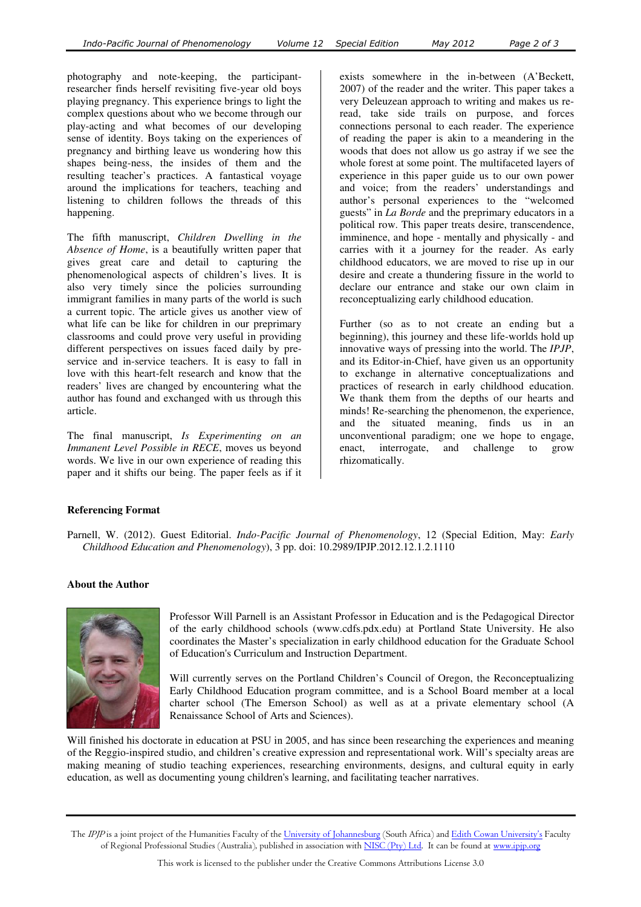photography and note-keeping, the participantresearcher finds herself revisiting five-year old boys playing pregnancy. This experience brings to light the complex questions about who we become through our play-acting and what becomes of our developing sense of identity. Boys taking on the experiences of pregnancy and birthing leave us wondering how this shapes being-ness, the insides of them and the resulting teacher's practices. A fantastical voyage around the implications for teachers, teaching and listening to children follows the threads of this happening.

The fifth manuscript, *Children Dwelling in the Absence of Home*, is a beautifully written paper that gives great care and detail to capturing the phenomenological aspects of children's lives. It is also very timely since the policies surrounding immigrant families in many parts of the world is such a current topic. The article gives us another view of what life can be like for children in our preprimary classrooms and could prove very useful in providing different perspectives on issues faced daily by preservice and in-service teachers. It is easy to fall in love with this heart-felt research and know that the readers' lives are changed by encountering what the author has found and exchanged with us through this article.

The final manuscript, *Is Experimenting on an Immanent Level Possible in RECE*, moves us beyond words. We live in our own experience of reading this paper and it shifts our being. The paper feels as if it

exists somewhere in the in-between (A'Beckett, 2007) of the reader and the writer. This paper takes a very Deleuzean approach to writing and makes us reread, take side trails on purpose, and forces connections personal to each reader. The experience of reading the paper is akin to a meandering in the woods that does not allow us go astray if we see the whole forest at some point. The multifaceted layers of experience in this paper guide us to our own power and voice; from the readers' understandings and author's personal experiences to the "welcomed guests" in *La Borde* and the preprimary educators in a political row. This paper treats desire, transcendence, imminence, and hope - mentally and physically - and carries with it a journey for the reader. As early childhood educators, we are moved to rise up in our desire and create a thundering fissure in the world to declare our entrance and stake our own claim in reconceptualizing early childhood education.

Further (so as to not create an ending but a beginning), this journey and these life-worlds hold up innovative ways of pressing into the world. The *IPJP*, and its Editor-in-Chief, have given us an opportunity to exchange in alternative conceptualizations and practices of research in early childhood education. We thank them from the depths of our hearts and minds! Re-searching the phenomenon, the experience, and the situated meaning, finds us in an unconventional paradigm; one we hope to engage, enact, interrogate, and challenge to grow rhizomatically.

# **Referencing Format**

Parnell, W. (2012). Guest Editorial. *Indo-Pacific Journal of Phenomenology*, 12 (Special Edition, May: *Early Childhood Education and Phenomenology*), 3 pp. doi: 10.2989/IPJP.2012.12.1.2.1110

## **About the Author**



Professor Will Parnell is an Assistant Professor in Education and is the Pedagogical Director of the early childhood schools (www.cdfs.pdx.edu) at Portland State University. He also coordinates the Master's specialization in early childhood education for the Graduate School of Education's Curriculum and Instruction Department.

Will currently serves on the Portland Children's Council of Oregon, the Reconceptualizing Early Childhood Education program committee, and is a School Board member at a local charter school (The Emerson School) as well as at a private elementary school (A Renaissance School of Arts and Sciences).

Will finished his doctorate in education at PSU in 2005, and has since been researching the experiences and meaning of the Reggio-inspired studio, and children's creative expression and representational work. Will's specialty areas are making meaning of studio teaching experiences, researching environments, designs, and cultural equity in early education, as well as documenting young children's learning, and facilitating teacher narratives.

The *IPJP* is a joint project of the Humanities Faculty of the <u>University of Johannesburg</u> (South Africa) and <u>Edith Cowan University's</u> Faculty of Regional Professional Studies (Australia), published in association with <u>NISC (Pty) Ltd</u>. It can be found at <u>www.ipjp.org</u>